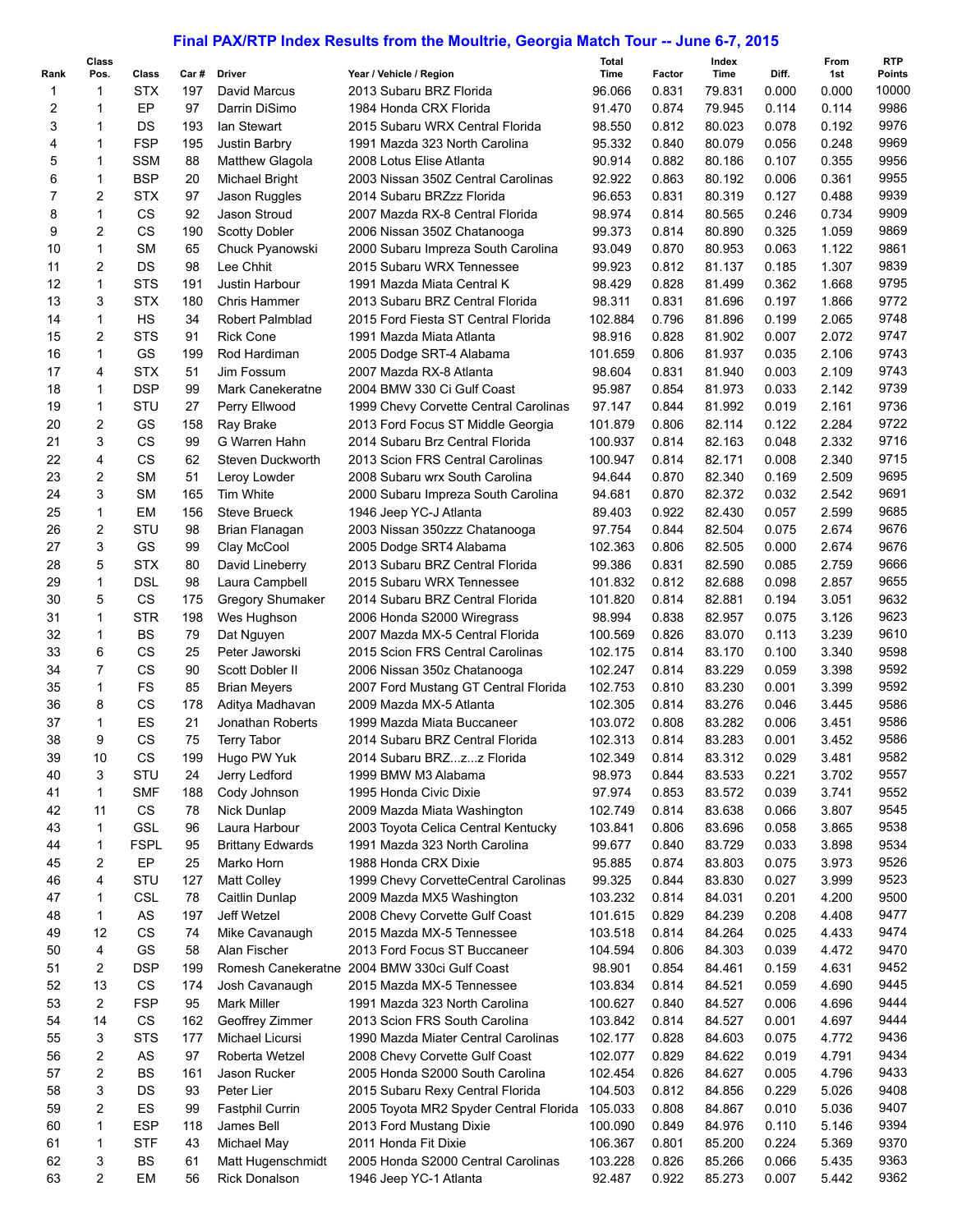## **Final PAX/RTP Index Results from the Moultrie, Georgia Match Tour -- June 6-7, 2015**

|                | Class          |             |      |                         |                                        | Total   |        | Index  |       | From  | RTP           |
|----------------|----------------|-------------|------|-------------------------|----------------------------------------|---------|--------|--------|-------|-------|---------------|
| Rank           | Pos.           | Class       | Car# | Driver                  | Year / Vehicle / Region                | Time    | Factor | Time   | Diff. | 1st   | <b>Points</b> |
| 1              | 1              | <b>STX</b>  | 197  | David Marcus            | 2013 Subaru BRZ Florida                | 96.066  | 0.831  | 79.831 | 0.000 | 0.000 | 10000         |
| 2              | 1              | EP          | 97   | Darrin DiSimo           | 1984 Honda CRX Florida                 | 91.470  | 0.874  | 79.945 | 0.114 | 0.114 | 9986          |
| 3              | 1              | DS          | 193  | lan Stewart             | 2015 Subaru WRX Central Florida        | 98.550  | 0.812  | 80.023 | 0.078 | 0.192 | 9976          |
| 4              | 1              | <b>FSP</b>  | 195  | Justin Barbry           | 1991 Mazda 323 North Carolina          | 95.332  | 0.840  | 80.079 | 0.056 | 0.248 | 9969          |
| 5              | 1              | <b>SSM</b>  | 88   | Matthew Glagola         | 2008 Lotus Elise Atlanta               | 90.914  | 0.882  | 80.186 | 0.107 | 0.355 | 9956          |
| 6              | 1              | <b>BSP</b>  | 20   | Michael Bright          | 2003 Nissan 350Z Central Carolinas     | 92.922  | 0.863  | 80.192 | 0.006 | 0.361 | 9955          |
| $\overline{7}$ | $\overline{c}$ | <b>STX</b>  | 97   | Jason Ruggles           | 2014 Subaru BRZzz Florida              | 96.653  | 0.831  | 80.319 | 0.127 | 0.488 | 9939          |
| 8              | 1              | <b>CS</b>   | 92   | Jason Stroud            | 2007 Mazda RX-8 Central Florida        | 98.974  | 0.814  | 80.565 | 0.246 | 0.734 | 9909          |
| 9              | $\overline{2}$ | CS          | 190  | <b>Scotty Dobler</b>    | 2006 Nissan 350Z Chatanooga            | 99.373  | 0.814  | 80.890 | 0.325 | 1.059 | 9869          |
| 10             | 1              | <b>SM</b>   | 65   | Chuck Pyanowski         | 2000 Subaru Impreza South Carolina     | 93.049  | 0.870  | 80.953 | 0.063 | 1.122 | 9861          |
| 11             | 2              | <b>DS</b>   | 98   | Lee Chhit               | 2015 Subaru WRX Tennessee              | 99.923  | 0.812  | 81.137 | 0.185 | 1.307 | 9839          |
| 12             | $\mathbf{1}$   | <b>STS</b>  | 191  | Justin Harbour          | 1991 Mazda Miata Central K             | 98.429  | 0.828  | 81.499 | 0.362 | 1.668 | 9795          |
| 13             | 3              | <b>STX</b>  | 180  | <b>Chris Hammer</b>     | 2013 Subaru BRZ Central Florida        | 98.311  | 0.831  | 81.696 | 0.197 | 1.866 | 9772          |
| 14             | 1              | HS          | 34   | Robert Palmblad         | 2015 Ford Fiesta ST Central Florida    | 102.884 | 0.796  | 81.896 | 0.199 | 2.065 | 9748          |
| 15             | $\overline{2}$ | <b>STS</b>  | 91   | <b>Rick Cone</b>        | 1991 Mazda Miata Atlanta               | 98.916  | 0.828  | 81.902 | 0.007 | 2.072 | 9747          |
| 16             | $\mathbf{1}$   | GS          | 199  | Rod Hardiman            | 2005 Dodge SRT-4 Alabama               | 101.659 | 0.806  | 81.937 | 0.035 | 2.106 | 9743          |
| 17             | 4              | <b>STX</b>  | 51   | Jim Fossum              | 2007 Mazda RX-8 Atlanta                | 98.604  | 0.831  | 81.940 | 0.003 | 2.109 | 9743          |
| 18             | 1              | <b>DSP</b>  | 99   | Mark Canekeratne        | 2004 BMW 330 Ci Gulf Coast             | 95.987  | 0.854  | 81.973 | 0.033 | 2.142 | 9739          |
| 19             | 1              | STU         | 27   | Perry Ellwood           | 1999 Chevy Corvette Central Carolinas  | 97.147  | 0.844  | 81.992 | 0.019 | 2.161 | 9736          |
| 20             | 2              | GS          | 158  |                         | 2013 Ford Focus ST Middle Georgia      | 101.879 | 0.806  | 82.114 | 0.122 | 2.284 | 9722          |
|                |                |             |      | Ray Brake               |                                        |         |        |        |       |       |               |
| 21             | 3              | <b>CS</b>   | 99   | G Warren Hahn           | 2014 Subaru Brz Central Florida        | 100.937 | 0.814  | 82.163 | 0.048 | 2.332 | 9716          |
| 22             | $\overline{4}$ | <b>CS</b>   | 62   | Steven Duckworth        | 2013 Scion FRS Central Carolinas       | 100.947 | 0.814  | 82.171 | 0.008 | 2.340 | 9715          |
| 23             | $\overline{2}$ | <b>SM</b>   | 51   | Leroy Lowder            | 2008 Subaru wrx South Carolina         | 94.644  | 0.870  | 82.340 | 0.169 | 2.509 | 9695          |
| 24             | 3              | <b>SM</b>   | 165  | <b>Tim White</b>        | 2000 Subaru Impreza South Carolina     | 94.681  | 0.870  | 82.372 | 0.032 | 2.542 | 9691          |
| 25             | $\mathbf{1}$   | EM          | 156  | <b>Steve Brueck</b>     | 1946 Jeep YC-J Atlanta                 | 89.403  | 0.922  | 82.430 | 0.057 | 2.599 | 9685          |
| 26             | $\overline{2}$ | STU         | 98   | Brian Flanagan          | 2003 Nissan 350zzz Chatanooga          | 97.754  | 0.844  | 82.504 | 0.075 | 2.674 | 9676          |
| 27             | 3              | GS          | 99   | Clay McCool             | 2005 Dodge SRT4 Alabama                | 102.363 | 0.806  | 82.505 | 0.000 | 2.674 | 9676          |
| 28             | 5              | <b>STX</b>  | 80   | David Lineberry         | 2013 Subaru BRZ Central Florida        | 99.386  | 0.831  | 82.590 | 0.085 | 2.759 | 9666          |
| 29             | 1              | <b>DSL</b>  | 98   | Laura Campbell          | 2015 Subaru WRX Tennessee              | 101.832 | 0.812  | 82.688 | 0.098 | 2.857 | 9655          |
| 30             | 5              | CS          | 175  | <b>Gregory Shumaker</b> | 2014 Subaru BRZ Central Florida        | 101.820 | 0.814  | 82.881 | 0.194 | 3.051 | 9632          |
| 31             | $\mathbf{1}$   | <b>STR</b>  | 198  | Wes Hughson             | 2006 Honda S2000 Wiregrass             | 98.994  | 0.838  | 82.957 | 0.075 | 3.126 | 9623          |
| 32             | 1              | <b>BS</b>   | 79   | Dat Nguyen              | 2007 Mazda MX-5 Central Florida        | 100.569 | 0.826  | 83.070 | 0.113 | 3.239 | 9610          |
| 33             | 6              | <b>CS</b>   | 25   | Peter Jaworski          | 2015 Scion FRS Central Carolinas       | 102.175 | 0.814  | 83.170 | 0.100 | 3.340 | 9598          |
| 34             | $\overline{7}$ | CS          | 90   | Scott Dobler II         | 2006 Nissan 350z Chatanooga            | 102.247 | 0.814  | 83.229 | 0.059 | 3.398 | 9592          |
| 35             | 1              | <b>FS</b>   | 85   | <b>Brian Meyers</b>     | 2007 Ford Mustang GT Central Florida   | 102.753 | 0.810  | 83.230 | 0.001 | 3.399 | 9592          |
| 36             | 8              | CS          | 178  | Aditya Madhavan         | 2009 Mazda MX-5 Atlanta                | 102.305 | 0.814  | 83.276 | 0.046 | 3.445 | 9586          |
| 37             | 1              | ES          | 21   | Jonathan Roberts        | 1999 Mazda Miata Buccaneer             | 103.072 | 0.808  | 83.282 | 0.006 | 3.451 | 9586          |
| 38             | 9              | <b>CS</b>   | 75   | <b>Terry Tabor</b>      | 2014 Subaru BRZ Central Florida        | 102.313 | 0.814  | 83.283 | 0.001 | 3.452 | 9586          |
| 39             | 10             | CS          | 199  | Hugo PW Yuk             |                                        |         |        |        |       |       | 9582          |
|                |                |             |      |                         | 2014 Subaru BRZzz Florida              | 102.349 | 0.814  | 83.312 | 0.029 | 3.481 |               |
| 40             | 3              | STU         | 24   | Jerry Ledford           | 1999 BMW M3 Alabama                    | 98.973  | 0.844  | 83.533 | 0.221 | 3.702 | 9557          |
| 41             | $\mathbf{1}$   | <b>SMF</b>  | 188  | Cody Johnson            | 1995 Honda Civic Dixie                 | 97.974  | 0.853  | 83.572 | 0.039 | 3.741 | 9552          |
| 42             | 11             | CS          | 78   | Nick Dunlap             | 2009 Mazda Miata Washington            | 102.749 | 0.814  | 83.638 | 0.066 | 3.807 | 9545          |
| 43             | $\mathbf{1}$   | <b>GSL</b>  | 96   | Laura Harbour           | 2003 Toyota Celica Central Kentucky    | 103.841 | 0.806  | 83.696 | 0.058 | 3.865 | 9538          |
| 44             | 1              | <b>FSPL</b> | 95   | <b>Brittany Edwards</b> | 1991 Mazda 323 North Carolina          | 99.677  | 0.840  | 83.729 | 0.033 | 3.898 | 9534          |
| 45             | 2              | EP          | 25   | Marko Horn              | 1988 Honda CRX Dixie                   | 95.885  | 0.874  | 83.803 | 0.075 | 3.973 | 9526          |
| 46             | 4              | STU         | 127  | <b>Matt Colley</b>      | 1999 Chevy CorvetteCentral Carolinas   | 99.325  | 0.844  | 83.830 | 0.027 | 3.999 | 9523          |
| 47             | 1              | <b>CSL</b>  | 78   | Caitlin Dunlap          | 2009 Mazda MX5 Washington              | 103.232 | 0.814  | 84.031 | 0.201 | 4.200 | 9500          |
| 48             | $\mathbf{1}$   | AS          | 197  | Jeff Wetzel             | 2008 Chevy Corvette Gulf Coast         | 101.615 | 0.829  | 84.239 | 0.208 | 4.408 | 9477          |
| 49             | 12             | CS          | 74   | Mike Cavanaugh          | 2015 Mazda MX-5 Tennessee              | 103.518 | 0.814  | 84.264 | 0.025 | 4.433 | 9474          |
| 50             | $\overline{4}$ | GS          | 58   | Alan Fischer            | 2013 Ford Focus ST Buccaneer           | 104.594 | 0.806  | 84.303 | 0.039 | 4.472 | 9470          |
| 51             | 2              | <b>DSP</b>  | 199  | Romesh Canekeratne      | 2004 BMW 330ci Gulf Coast              | 98.901  | 0.854  | 84.461 | 0.159 | 4.631 | 9452          |
| 52             | 13             | <b>CS</b>   | 174  | Josh Cavanaugh          | 2015 Mazda MX-5 Tennessee              | 103.834 | 0.814  | 84.521 | 0.059 | 4.690 | 9445          |
| 53             | $\overline{2}$ | <b>FSP</b>  | 95   | <b>Mark Miller</b>      | 1991 Mazda 323 North Carolina          | 100.627 | 0.840  | 84.527 | 0.006 | 4.696 | 9444          |
| 54             | 14             | CS          | 162  | Geoffrey Zimmer         | 2013 Scion FRS South Carolina          | 103.842 | 0.814  | 84.527 | 0.001 | 4.697 | 9444          |
| 55             | 3              | <b>STS</b>  | 177  | Michael Licursi         | 1990 Mazda Miater Central Carolinas    | 102.177 | 0.828  | 84.603 | 0.075 | 4.772 | 9436          |
|                | $\overline{c}$ |             |      |                         |                                        |         |        |        |       |       | 9434          |
| 56             |                | AS          | 97   | Roberta Wetzel          | 2008 Chevy Corvette Gulf Coast         | 102.077 | 0.829  | 84.622 | 0.019 | 4.791 |               |
| 57             | $\overline{2}$ | <b>BS</b>   | 161  | Jason Rucker            | 2005 Honda S2000 South Carolina        | 102.454 | 0.826  | 84.627 | 0.005 | 4.796 | 9433          |
| 58             | 3              | DS          | 93   | Peter Lier              | 2015 Subaru Rexy Central Florida       | 104.503 | 0.812  | 84.856 | 0.229 | 5.026 | 9408          |
| 59             | $\overline{2}$ | ES          | 99   | <b>Fastphil Currin</b>  | 2005 Toyota MR2 Spyder Central Florida | 105.033 | 0.808  | 84.867 | 0.010 | 5.036 | 9407          |
| 60             | 1              | <b>ESP</b>  | 118  | James Bell              | 2013 Ford Mustang Dixie                | 100.090 | 0.849  | 84.976 | 0.110 | 5.146 | 9394          |
| 61             | 1              | <b>STF</b>  | 43   | Michael May             | 2011 Honda Fit Dixie                   | 106.367 | 0.801  | 85.200 | 0.224 | 5.369 | 9370          |
| 62             | 3              | BS          | 61   | Matt Hugenschmidt       | 2005 Honda S2000 Central Carolinas     | 103.228 | 0.826  | 85.266 | 0.066 | 5.435 | 9363          |
| 63             | $\overline{2}$ | EM          | 56   | <b>Rick Donalson</b>    | 1946 Jeep YC-1 Atlanta                 | 92.487  | 0.922  | 85.273 | 0.007 | 5.442 | 9362          |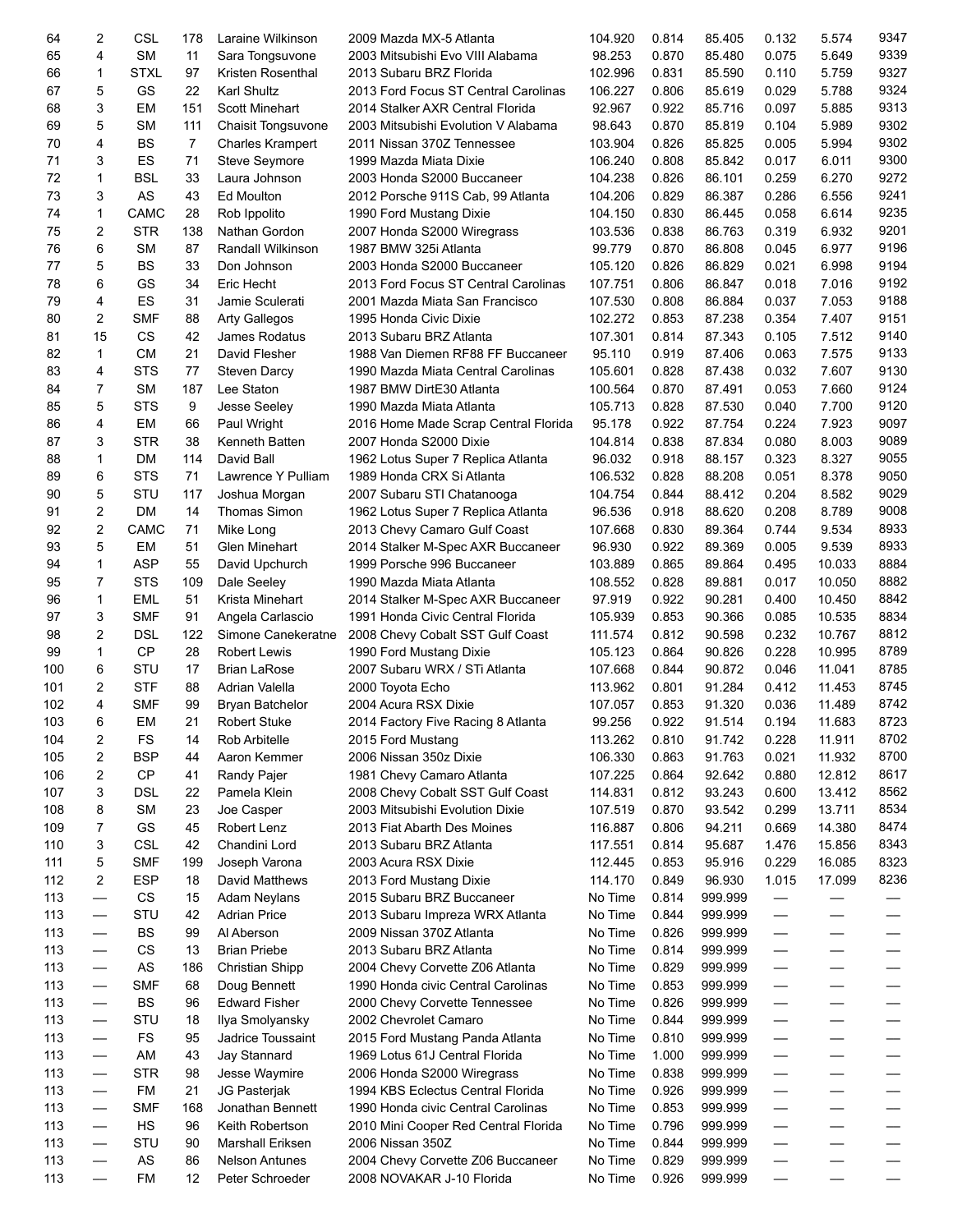| 64  | 2                 | <b>CSL</b> | 178 | Laraine Wilkinson       | 2009 Mazda MX-5 Atlanta              | 104.920 | 0.814 | 85.405  | 0.132                    | 5.574  | 9347 |
|-----|-------------------|------------|-----|-------------------------|--------------------------------------|---------|-------|---------|--------------------------|--------|------|
| 65  | 4                 | <b>SM</b>  | 11  | Sara Tongsuvone         | 2003 Mitsubishi Evo VIII Alabama     | 98.253  | 0.870 | 85.480  | 0.075                    | 5.649  | 9339 |
| 66  | 1                 | STXL       | 97  | Kristen Rosenthal       | 2013 Subaru BRZ Florida              | 102.996 | 0.831 | 85.590  | 0.110                    | 5.759  | 9327 |
| 67  | 5                 | GS         | 22  | Karl Shultz             | 2013 Ford Focus ST Central Carolinas | 106.227 | 0.806 | 85.619  | 0.029                    | 5.788  | 9324 |
| 68  | 3                 | EМ         | 151 | <b>Scott Minehart</b>   | 2014 Stalker AXR Central Florida     | 92.967  | 0.922 | 85.716  | 0.097                    | 5.885  | 9313 |
| 69  | 5                 | <b>SM</b>  | 111 | Chaisit Tongsuvone      | 2003 Mitsubishi Evolution V Alabama  | 98.643  | 0.870 | 85.819  | 0.104                    | 5.989  | 9302 |
| 70  | 4                 | <b>BS</b>  | 7   |                         | 2011 Nissan 370Z Tennessee           | 103.904 | 0.826 | 85.825  | 0.005                    | 5.994  | 9302 |
|     |                   |            |     | <b>Charles Krampert</b> |                                      |         |       |         |                          |        |      |
| 71  | 3                 | ES         | 71  | Steve Seymore           | 1999 Mazda Miata Dixie               | 106.240 | 0.808 | 85.842  | 0.017                    | 6.011  | 9300 |
| 72  | 1                 | BSL        | 33  | Laura Johnson           | 2003 Honda S2000 Buccaneer           | 104.238 | 0.826 | 86.101  | 0.259                    | 6.270  | 9272 |
| 73  | 3                 | AS         | 43  | Ed Moulton              | 2012 Porsche 911S Cab, 99 Atlanta    | 104.206 | 0.829 | 86.387  | 0.286                    | 6.556  | 9241 |
| 74  | 1                 | CAMC       | 28  | Rob Ippolito            | 1990 Ford Mustang Dixie              | 104.150 | 0.830 | 86.445  | 0.058                    | 6.614  | 9235 |
| 75  | 2                 | <b>STR</b> | 138 | Nathan Gordon           | 2007 Honda S2000 Wiregrass           | 103.536 | 0.838 | 86.763  | 0.319                    | 6.932  | 9201 |
| 76  | 6                 | SM         | 87  | Randall Wilkinson       | 1987 BMW 325i Atlanta                | 99.779  | 0.870 | 86.808  | 0.045                    | 6.977  | 9196 |
| 77  | 5                 | <b>BS</b>  | 33  | Don Johnson             | 2003 Honda S2000 Buccaneer           | 105.120 | 0.826 | 86.829  | 0.021                    | 6.998  | 9194 |
| 78  | 6                 | GS         | 34  | Eric Hecht              | 2013 Ford Focus ST Central Carolinas | 107.751 | 0.806 | 86.847  | 0.018                    | 7.016  | 9192 |
| 79  | 4                 | ES         | 31  | Jamie Sculerati         | 2001 Mazda Miata San Francisco       | 107.530 | 0.808 | 86.884  | 0.037                    | 7.053  | 9188 |
| 80  | $\overline{c}$    | <b>SMF</b> | 88  | <b>Arty Gallegos</b>    | 1995 Honda Civic Dixie               | 102.272 | 0.853 | 87.238  | 0.354                    | 7.407  | 9151 |
| 81  | 15                | <b>CS</b>  | 42  | James Rodatus           | 2013 Subaru BRZ Atlanta              | 107.301 | 0.814 | 87.343  | 0.105                    | 7.512  | 9140 |
| 82  | 1                 | <b>CM</b>  | 21  | David Flesher           | 1988 Van Diemen RF88 FF Buccaneer    | 95.110  | 0.919 | 87.406  | 0.063                    | 7.575  | 9133 |
| 83  | 4                 | <b>STS</b> | 77  |                         | 1990 Mazda Miata Central Carolinas   | 105.601 | 0.828 | 87.438  | 0.032                    | 7.607  | 9130 |
|     |                   |            |     | Steven Darcy            |                                      |         |       |         |                          |        |      |
| 84  | 7                 | SM         | 187 | Lee Staton              | 1987 BMW DirtE30 Atlanta             | 100.564 | 0.870 | 87.491  | 0.053                    | 7.660  | 9124 |
| 85  | 5                 | <b>STS</b> | 9   | Jesse Seeley            | 1990 Mazda Miata Atlanta             | 105.713 | 0.828 | 87.530  | 0.040                    | 7.700  | 9120 |
| 86  | 4                 | EM         | 66  | Paul Wright             | 2016 Home Made Scrap Central Florida | 95.178  | 0.922 | 87.754  | 0.224                    | 7.923  | 9097 |
| 87  | 3                 | <b>STR</b> | 38  | Kenneth Batten          | 2007 Honda S2000 Dixie               | 104.814 | 0.838 | 87.834  | 0.080                    | 8.003  | 9089 |
| 88  | 1                 | <b>DM</b>  | 114 | David Ball              | 1962 Lotus Super 7 Replica Atlanta   | 96.032  | 0.918 | 88.157  | 0.323                    | 8.327  | 9055 |
| 89  | 6                 | <b>STS</b> | 71  | Lawrence Y Pulliam      | 1989 Honda CRX Si Atlanta            | 106.532 | 0.828 | 88.208  | 0.051                    | 8.378  | 9050 |
| 90  | 5                 | STU        | 117 | Joshua Morgan           | 2007 Subaru STI Chatanooga           | 104.754 | 0.844 | 88.412  | 0.204                    | 8.582  | 9029 |
| 91  | 2                 | DM         | 14  | <b>Thomas Simon</b>     | 1962 Lotus Super 7 Replica Atlanta   | 96.536  | 0.918 | 88.620  | 0.208                    | 8.789  | 9008 |
| 92  | 2                 | CAMC       | 71  | Mike Long               | 2013 Chevy Camaro Gulf Coast         | 107.668 | 0.830 | 89.364  | 0.744                    | 9.534  | 8933 |
| 93  | 5                 | EМ         | 51  | <b>Glen Minehart</b>    | 2014 Stalker M-Spec AXR Buccaneer    | 96.930  | 0.922 | 89.369  | 0.005                    | 9.539  | 8933 |
| 94  | 1                 | <b>ASP</b> | 55  | David Upchurch          | 1999 Porsche 996 Buccaneer           | 103.889 | 0.865 | 89.864  | 0.495                    | 10.033 | 8884 |
| 95  | 7                 | <b>STS</b> | 109 | Dale Seeley             | 1990 Mazda Miata Atlanta             | 108.552 | 0.828 | 89.881  | 0.017                    | 10.050 | 8882 |
| 96  | 1                 | <b>EML</b> | 51  | Krista Minehart         | 2014 Stalker M-Spec AXR Buccaneer    | 97.919  | 0.922 | 90.281  | 0.400                    | 10.450 | 8842 |
| 97  | 3                 | <b>SMF</b> | 91  |                         | 1991 Honda Civic Central Florida     | 105.939 | 0.853 | 90.366  | 0.085                    | 10.535 | 8834 |
|     |                   |            |     | Angela Carlascio        |                                      |         |       |         |                          |        | 8812 |
| 98  | 2                 | <b>DSL</b> | 122 | Simone Canekeratne      | 2008 Chevy Cobalt SST Gulf Coast     | 111.574 | 0.812 | 90.598  | 0.232                    | 10.767 |      |
| 99  | 1                 | СP         | 28  | <b>Robert Lewis</b>     | 1990 Ford Mustang Dixie              | 105.123 | 0.864 | 90.826  | 0.228                    | 10.995 | 8789 |
| 100 | 6                 | STU        | 17  | <b>Brian LaRose</b>     | 2007 Subaru WRX / STi Atlanta        | 107.668 | 0.844 | 90.872  | 0.046                    | 11.041 | 8785 |
| 101 | 2                 | <b>STF</b> | 88  | Adrian Valella          | 2000 Toyota Echo                     | 113.962 | 0.801 | 91.284  | 0.412                    | 11.453 | 8745 |
| 102 | 4                 | <b>SMF</b> | 99  | Bryan Batchelor         | 2004 Acura RSX Dixie                 | 107.057 | 0.853 | 91.320  | 0.036                    | 11.489 | 8742 |
| 103 | 6                 | EM         | 21  | <b>Robert Stuke</b>     | 2014 Factory Five Racing 8 Atlanta   | 99.256  | 0.922 | 91.514  | 0.194                    | 11.683 | 8723 |
| 104 | 2                 | FS         | 14  | Rob Arbitelle           | 2015 Ford Mustang                    | 113.262 | 0.810 | 91.742  | 0.228                    | 11.911 | 8702 |
| 105 | 2                 | <b>BSP</b> | 44  | Aaron Kemmer            | 2006 Nissan 350z Dixie               | 106.330 | 0.863 | 91.763  | 0.021                    | 11.932 | 8700 |
| 106 | 2                 | <b>CP</b>  | 41  | Randy Pajer             | 1981 Chevy Camaro Atlanta            | 107.225 | 0.864 | 92.642  | 0.880                    | 12.812 | 8617 |
| 107 | 3                 | <b>DSL</b> | 22  | Pamela Klein            | 2008 Chevy Cobalt SST Gulf Coast     | 114.831 | 0.812 | 93.243  | 0.600                    | 13.412 | 8562 |
| 108 | 8                 | <b>SM</b>  | 23  | Joe Casper              | 2003 Mitsubishi Evolution Dixie      | 107.519 | 0.870 | 93.542  | 0.299                    | 13.711 | 8534 |
| 109 | 7                 | GS         | 45  | Robert Lenz             | 2013 Fiat Abarth Des Moines          | 116.887 | 0.806 | 94.211  | 0.669                    | 14.380 | 8474 |
| 110 | 3                 | <b>CSL</b> | 42  | Chandini Lord           | 2013 Subaru BRZ Atlanta              | 117.551 | 0.814 | 95.687  | 1.476                    | 15.856 | 8343 |
| 111 | 5                 | <b>SMF</b> | 199 | Joseph Varona           | 2003 Acura RSX Dixie                 | 112.445 | 0.853 | 95.916  | 0.229                    | 16.085 | 8323 |
| 112 | 2                 | <b>ESP</b> | 18  | David Matthews          | 2013 Ford Mustang Dixie              | 114.170 | 0.849 | 96.930  | 1.015                    | 17.099 | 8236 |
| 113 |                   | CS         | 15  |                         | 2015 Subaru BRZ Buccaneer            | No Time | 0.814 | 999.999 |                          |        |      |
|     |                   |            |     | Adam Neylans            |                                      |         |       |         | —                        |        |      |
| 113 |                   | STU        | 42  | <b>Adrian Price</b>     | 2013 Subaru Impreza WRX Atlanta      | No Time | 0.844 | 999.999 | —                        |        |      |
| 113 | $\qquad \qquad -$ | BS         | 99  | Al Aberson              | 2009 Nissan 370Z Atlanta             | No Time | 0.826 | 999.999 | —                        | --     |      |
| 113 | $\qquad \qquad -$ | CS         | 13  | <b>Brian Priebe</b>     | 2013 Subaru BRZ Atlanta              | No Time | 0.814 | 999.999 | —                        | --     |      |
| 113 | $\hspace{0.05cm}$ | AS         | 186 | <b>Christian Shipp</b>  | 2004 Chevy Corvette Z06 Atlanta      | No Time | 0.829 | 999.999 | $\overline{\phantom{0}}$ | --     |      |
| 113 | $\qquad \qquad -$ | <b>SMF</b> | 68  | Doug Bennett            | 1990 Honda civic Central Carolinas   | No Time | 0.853 | 999.999 | —                        |        |      |
| 113 |                   | BS         | 96  | <b>Edward Fisher</b>    | 2000 Chevy Corvette Tennessee        | No Time | 0.826 | 999.999 | —                        |        |      |
| 113 | --                | STU        | 18  | Ilya Smolyansky         | 2002 Chevrolet Camaro                | No Time | 0.844 | 999.999 | —                        |        |      |
| 113 |                   | FS         | 95  | Jadrice Toussaint       | 2015 Ford Mustang Panda Atlanta      | No Time | 0.810 | 999.999 | —                        |        |      |
| 113 |                   | AM         | 43  | Jay Stannard            | 1969 Lotus 61J Central Florida       | No Time | 1.000 | 999.999 | —                        |        |      |
| 113 | $\qquad \qquad -$ | <b>STR</b> | 98  | Jesse Waymire           | 2006 Honda S2000 Wiregrass           | No Time | 0.838 | 999.999 | —                        |        |      |
| 113 | $\hspace{0.05cm}$ | FM         | 21  | JG Pasterjak            | 1994 KBS Eclectus Central Florida    | No Time | 0.926 | 999.999 | —                        | --     |      |
| 113 | $\qquad \qquad -$ | <b>SMF</b> | 168 | Jonathan Bennett        | 1990 Honda civic Central Carolinas   | No Time | 0.853 | 999.999 | —                        | --     |      |
| 113 | $\qquad \qquad -$ | HS         | 96  | Keith Robertson         | 2010 Mini Cooper Red Central Florida | No Time | 0.796 | 999.999 | —                        | --     |      |
| 113 | $\hspace{0.05cm}$ | STU        | 90  | Marshall Eriksen        | 2006 Nissan 350Z                     | No Time | 0.844 | 999.999 |                          |        |      |
|     |                   | AS         | 86  | <b>Nelson Antunes</b>   |                                      | No Time | 0.829 | 999.999 | —                        |        |      |
| 113 |                   |            |     |                         | 2004 Chevy Corvette Z06 Buccaneer    |         |       |         | —                        |        |      |
| 113 |                   | FM         | 12  | Peter Schroeder         | 2008 NOVAKAR J-10 Florida            | No Time | 0.926 | 999.999 |                          |        |      |